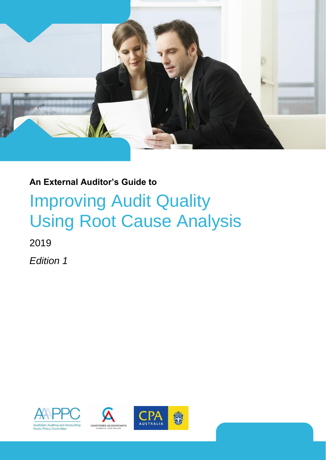

# **An External Auditor's Guide to**

# Improving Audit Quality Using Root Cause Analysis

2019

*Edition 1*





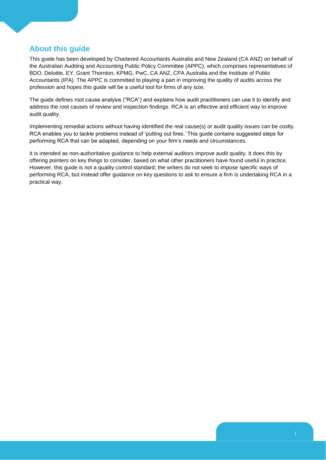# **About this guide**

This guide has been developed by Chartered Accountants Australia and New Zealand (CA ANZ) on behalf of the Australian Auditing and Accounting Public Policy Committee (APPC), which comprises representatives of BDO, Deloitte, EY, Grant Thornton, KPMG, PwC, CA ANZ, CPA Australia and the Institute of Public Accountants (IPA). The APPC is committed to playing a part in improving the quality of audits across the profession and hopes this guide will be a useful tool for firms of any size.

The guide defines root cause analysis ("RCA") and explains how audit practitioners can use it to identify and address the root causes of review and inspection findings. RCA is an effective and efficient way to improve audit quality.

Implementing remedial actions without having identified the real cause(s) or audit quality issues can be costly. RCA enables you to tackle problems instead of 'putting out fires.' This guide contains suggested steps for performing RCA that can be adapted, depending on your firm's needs and circumstances.

It is intended as non-authoritative guidance to help external auditors improve audit quality. It does this by offering pointers on key things to consider, based on what other practitioners have found useful in practice. However, this guide is not a quality control standard; the writers do not seek to impose specific ways of performing RCA, but instead offer guidance on key questions to ask to ensure a firm is undertaking RCA in a practical way.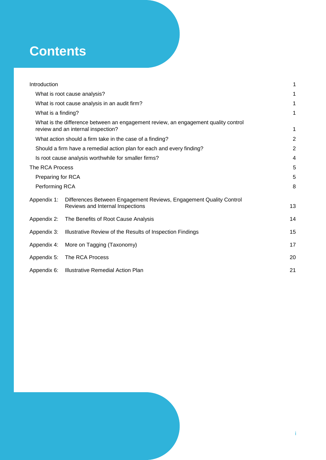# **Contents**

| Introduction                                                          |                                                                                                                          | 1  |  |
|-----------------------------------------------------------------------|--------------------------------------------------------------------------------------------------------------------------|----|--|
|                                                                       | What is root cause analysis?                                                                                             | 1  |  |
|                                                                       | What is root cause analysis in an audit firm?                                                                            | 1  |  |
| What is a finding?                                                    |                                                                                                                          | 1  |  |
|                                                                       | What is the difference between an engagement review, an engagement quality control<br>review and an internal inspection? | 1  |  |
| What action should a firm take in the case of a finding?              |                                                                                                                          |    |  |
| Should a firm have a remedial action plan for each and every finding? |                                                                                                                          |    |  |
|                                                                       | Is root cause analysis worthwhile for smaller firms?                                                                     | 4  |  |
| The RCA Process                                                       |                                                                                                                          | 5  |  |
| Preparing for RCA                                                     |                                                                                                                          | 5  |  |
| Performing RCA                                                        |                                                                                                                          | 8  |  |
| Appendix 1:                                                           | Differences Between Engagement Reviews, Engagement Quality Control<br>Reviews and Internal Inspections                   | 13 |  |
| Appendix 2:                                                           | The Benefits of Root Cause Analysis                                                                                      | 14 |  |
| Appendix 3:                                                           | Illustrative Review of the Results of Inspection Findings                                                                | 15 |  |
| Appendix 4:                                                           | More on Tagging (Taxonomy)                                                                                               | 17 |  |
| Appendix 5:                                                           | The RCA Process                                                                                                          | 20 |  |
| Appendix 6:                                                           | Illustrative Remedial Action Plan                                                                                        | 21 |  |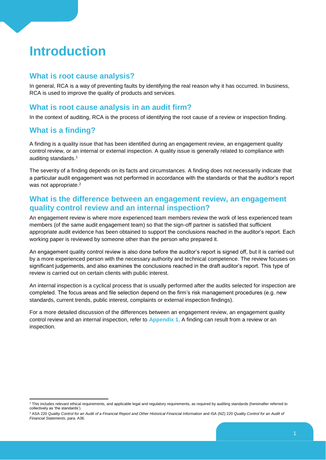# <span id="page-3-0"></span>**Introduction**

## <span id="page-3-1"></span>**What is root cause analysis?**

In general, RCA is a way of preventing faults by identifying the real reason why it has occurred. In business, RCA is used to improve the quality of products and services.

# <span id="page-3-2"></span>**What is root cause analysis in an audit firm?**

In the context of auditing, RCA is the process of identifying the root cause of a review or inspection finding.

# <span id="page-3-3"></span>**What is a finding?**

-

A finding is a quality issue that has been identified during an engagement review, an engagement quality control review, or an internal or external inspection. A quality issue is generally related to compliance with auditing standards.<sup>1</sup>

The severity of a finding depends on its facts and circumstances. A finding does not necessarily indicate that a particular audit engagement was not performed in accordance with the standards or that the auditor's report was not appropriate.<sup>2</sup>

# <span id="page-3-4"></span>**What is the difference between an engagement review, an engagement quality control review and an internal inspection?**

An engagement review is where more experienced team members review the work of less experienced team members (of the same audit engagement team) so that the sign-off partner is satisfied that sufficient appropriate audit evidence has been obtained to support the conclusions reached in the auditor's report. Each working paper is reviewed by someone other than the person who prepared it.

An engagement quality control review is also done before the auditor's report is signed off, but it is carried out by a more experienced person with the necessary authority and technical competence. The review focuses on significant judgements, and also examines the conclusions reached in the draft auditor's report. This type of review is carried out on certain clients with public interest.

An internal inspection is a cyclical process that is usually performed after the audits selected for inspection are completed. The focus areas and file selection depend on the firm's risk management procedures (e.g. new standards, current trends, public interest, complaints or external inspection findings).

For a more detailed discussion of the differences between an engagement review, an engagement quality control review and an internal inspection, refer to **Appendix 1**. A finding can result from a review or an inspection.

<sup>&</sup>lt;sup>1</sup> This includes relevant ethical requirements, and applicable legal and regulatory requirements, as required by auditing standards (hereinafter referred to collectively as 'the standards').

<sup>&</sup>lt;sup>2</sup> ASA 220 *Quality Control for an Audit of a Financial Report and Other Historical Financial Information and ISA (NZ) 220 <i>Quality Control for an Audit of Financial Statements*, para. A36.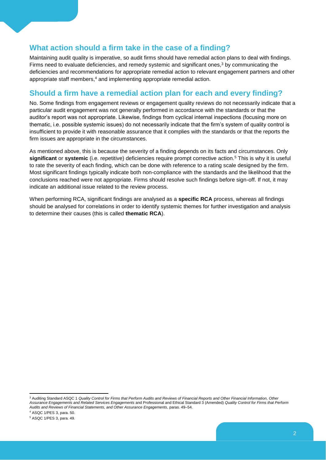# <span id="page-4-0"></span>**What action should a firm take in the case of a finding?**

Maintaining audit quality is imperative, so audit firms should have remedial action plans to deal with findings. Firms need to evaluate deficiencies, and remedy systemic and significant ones,<sup>3</sup> by communicating the deficiencies and recommendations for appropriate remedial action to relevant engagement partners and other appropriate staff members,<sup>4</sup> and implementing appropriate remedial action.

# <span id="page-4-1"></span>**Should a firm have a remedial action plan for each and every finding?**

No. Some findings from engagement reviews or engagement quality reviews do not necessarily indicate that a particular audit engagement was not generally performed in accordance with the standards or that the auditor's report was not appropriate. Likewise, findings from cyclical internal inspections (focusing more on thematic, i.e. possible systemic issues) do not necessarily indicate that the firm's system of quality control is insufficient to provide it with reasonable assurance that it complies with the standards or that the reports the firm issues are appropriate in the circumstances.

As mentioned above, this is because the severity of a finding depends on its facts and circumstances. Only **significant** or **systemic** (i.e. repetitive) deficiencies require prompt corrective action.<sup>5</sup> This is why it is useful to rate the severity of each finding, which can be done with reference to a rating scale designed by the firm. Most significant findings typically indicate both non-compliance with the standards and the likelihood that the conclusions reached were not appropriate. Firms should resolve such findings before sign-off. If not, it may indicate an additional issue related to the review process.

When performing RCA, significant findings are analysed as a **specific RCA** process, whereas all findings should be analysed for correlations in order to identify systemic themes for further investigation and analysis to determine their causes (this is called **thematic RCA**).

<sup>4</sup> ASQC 1/PES 3, para. 50.

-

<sup>3</sup> Auditing Standard ASQC 1 *Quality Control for Firms that Perform Audits and Reviews of Financial Reports and Other Financial Information, Other Assurance Engagements and Related Services Engagements* and Professional and Ethical Standard 3 (Amended) *Quality Control for Firms that Perform Audits and Reviews of Financial Statements, and Other Assurance Engagements*, paras. 49–54.

<sup>5</sup> ASQC 1/PES 3, para. 49.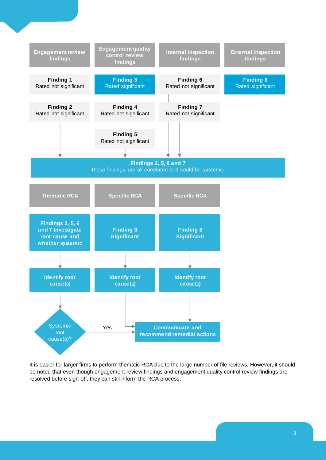

It is easier for larger firms to perform thematic RCA due to the large number of file reviews. However, it should be noted that even though engagement review findings and engagement quality control review findings are resolved before sign-off, they can still inform the RCA process.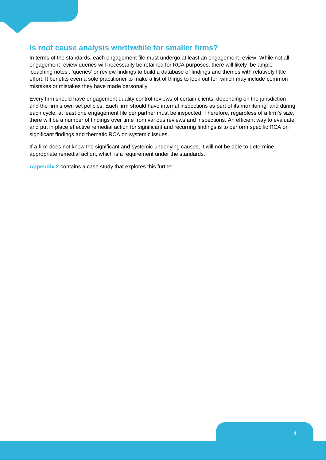# <span id="page-6-0"></span>**Is root cause analysis worthwhile for smaller firms?**

In terms of the standards, each engagement file must undergo at least an engagement review. While not all engagement review queries will necessarily be retained for RCA purposes, there will likely be ample 'coaching notes', 'queries' or review findings to build a database of findings and themes with relatively little effort. It benefits even a sole practitioner to make a list of things to look out for, which may include common mistakes or mistakes they have made personally.

Every firm should have engagement quality control reviews of certain clients, depending on the jurisdiction and the firm's own set policies. Each firm should have internal inspections as part of its monitoring, and during each cycle, at least one engagement file per partner must be inspected. Therefore, regardless of a firm's size, there will be a number of findings over time from various reviews and inspections. An efficient way to evaluate and put in place effective remedial action for significant and recurring findings is to perform specific RCA on significant findings and thematic RCA on systemic issues.

If a firm does not know the significant and systemic underlying causes, it will not be able to determine appropriate remedial action, which is a requirement under the standards.

**Appendix 2** contains a case study that explores this further.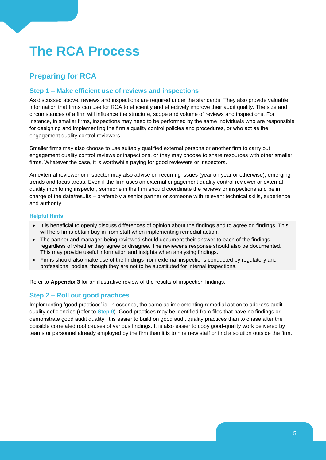# <span id="page-7-0"></span>**The RCA Process**

# <span id="page-7-1"></span>**Preparing for RCA**

## **Step 1 – Make efficient use of reviews and inspections**

As discussed above, reviews and inspections are required under the standards. They also provide valuable information that firms can use for RCA to efficiently and effectively improve their audit quality. The size and circumstances of a firm will influence the structure, scope and volume of reviews and inspections. For instance, in smaller firms, inspections may need to be performed by the same individuals who are responsible for designing and implementing the firm's quality control policies and procedures, or who act as the engagement quality control reviewers.

Smaller firms may also choose to use suitably qualified external persons or another firm to carry out engagement quality control reviews or inspections, or they may choose to share resources with other smaller firms. Whatever the case, it is worthwhile paying for good reviewers or inspectors.

An external reviewer or inspector may also advise on recurring issues (year on year or otherwise), emerging trends and focus areas. Even if the firm uses an external engagement quality control reviewer or external quality monitoring inspector, someone in the firm should coordinate the reviews or inspections and be in charge of the data/results – preferably a senior partner or someone with relevant technical skills, experience and authority.

#### **Helpful Hints**

- It is beneficial to openly discuss differences of opinion about the findings and to agree on findings. This will help firms obtain buy-in from staff when implementing remedial action.
- The partner and manager being reviewed should document their answer to each of the findings, regardless of whether they agree or disagree. The reviewer's response should also be documented. This may provide useful information and insights when analysing findings.
- Firms should also make use of the findings from external inspections conducted by regulatory and professional bodies, though they are not to be substituted for internal inspections.

Refer to **Appendix 3** for an illustrative review of the results of inspection findings.

## **Step 2 – Roll out good practices**

Implementing 'good practices' is, in essence, the same as implementing remedial action to address audit quality deficiencies (refer to **Step 9**). Good practices may be identified from files that have no findings or demonstrate good audit quality. It is easier to build on good audit quality practices than to chase after the possible correlated root causes of various findings. It is also easier to copy good-quality work delivered by teams or personnel already employed by the firm than it is to hire new staff or find a solution outside the firm.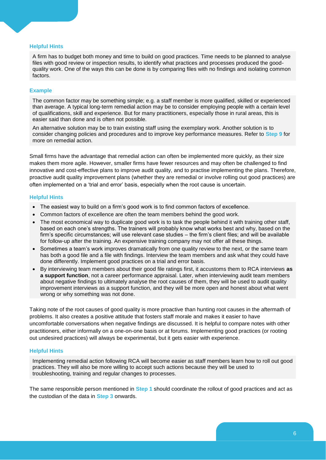#### **Helpful Hints**

A firm has to budget both money and time to build on good practices. Time needs to be planned to analyse files with good review or inspection results, to identify what practices and processes produced the goodquality work. One of the ways this can be done is by comparing files with no findings and isolating common factors.

#### **Example**

The common factor may be something simple; e.g. a staff member is more qualified, skilled or experienced than average. A typical long-term remedial action may be to consider employing people with a certain level of qualifications, skill and experience. But for many practitioners, especially those in rural areas, this is easier said than done and is often not possible.

An alternative solution may be to train existing staff using the exemplary work. Another solution is to consider changing policies and procedures and to improve key performance measures. Refer to **Step 9** for more on remedial action.

Small firms have the advantage that remedial action can often be implemented more quickly, as their size makes them more agile. However, smaller firms have fewer resources and may often be challenged to find innovative and cost-effective plans to improve audit quality, and to practise implementing the plans. Therefore, proactive audit quality improvement plans (whether they are remedial or involve rolling out good practices) are often implemented on a 'trial and error' basis, especially when the root cause is uncertain.

#### **Helpful Hints**

- The easiest way to build on a firm's good work is to find common factors of excellence.
- Common factors of excellence are often the team members behind the good work.
- The most economical way to duplicate good work is to task the people behind it with training other staff, based on each one's strengths. The trainers will probably know what works best and why, based on the firm's specific circumstances; will use relevant case studies – the firm's client files; and will be available for follow-up after the training. An expensive training company may not offer all these things.
- Sometimes a team's work improves dramatically from one quality review to the next, or the same team has both a good file and a file with findings. Interview the team members and ask what they could have done differently. Implement good practices on a trial and error basis.
- By interviewing team members about their good file ratings first, it accustoms them to RCA interviews **as a support function**, not a career performance appraisal. Later, when interviewing audit team members about negative findings to ultimately analyse the root causes of them, they will be used to audit quality improvement interviews as a support function, and they will be more open and honest about what went wrong or why something was not done.

Taking note of the root causes of good quality is more proactive than hunting root causes in the aftermath of problems. It also creates a positive attitude that fosters staff morale and makes it easier to have uncomfortable conversations when negative findings are discussed. It is helpful to compare notes with other practitioners, either informally on a one-on-one basis or at forums. Implementing good practices (or rooting out undesired practices) will always be experimental, but it gets easier with experience.

#### **Helpful Hints**

Implementing remedial action following RCA will become easier as staff members learn how to roll out good practices. They will also be more willing to accept such actions because they will be used to troubleshooting, training and regular changes to processes.

The same responsible person mentioned in **Step 1** should coordinate the rollout of good practices and act as the custodian of the data in **Step 3** onwards.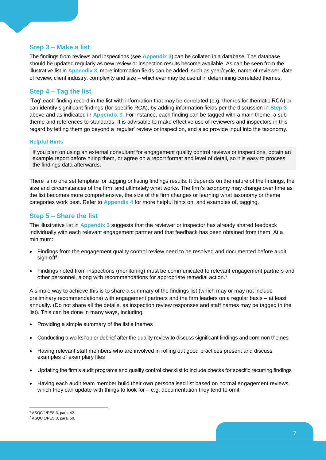### **Step 3 – Make a list**

The findings from reviews and inspections (see **Appendix 3**) can be collated in a database. The database should be updated regularly as new review or inspection results become available. As can be seen from the illustrative list in **Appendix 3**, more information fields can be added, such as year/cycle, name of reviewer, date of review, client industry, complexity and size – whichever may be useful in determining correlated themes.

### **Step 4 – Tag the list**

'Tag' each finding record in the list with information that may be correlated (e.g. themes for thematic RCA) or can identify significant findings (for specific RCA), by adding information fields per the discussion in **Step 3** above and as indicated in **Appendix 3**. For instance, each finding can be tagged with a main theme, a subtheme and references to standards. It is advisable to make effective use of reviewers and inspectors in this regard by letting them go beyond a 'regular' review or inspection, and also provide input into the taxonomy.

#### **Helpful Hints**

If you plan on using an external consultant for engagement quality control reviews or inspections, obtain an example report before hiring them, or agree on a report format and level of detail, so it is easy to process the findings data afterwards.

There is no one set template for tagging or listing findings results. It depends on the nature of the findings, the size and circumstances of the firm, and ultimately what works. The firm's taxonomy may change over time as the list becomes more comprehensive, the size of the firm changes or learning what taxonomy or theme categories work best. Refer to **Appendix 4** for more helpful hints on, and examples of, tagging.

### **Step 5 – Share the list**

The illustrative list in **Appendix 3** suggests that the reviewer or inspector has already shared feedback individually with each relevant engagement partner and that feedback has been obtained from them. At a minimum:

- Findings from the engagement quality control review need to be resolved and documented before audit sign-off<sup>6</sup>
- Findings noted from inspections (monitoring) must be communicated to relevant engagement partners and other personnel, along with recommendations for appropriate remedial action.<sup>7</sup>

A simple way to achieve this is to share a summary of the findings list (which may or may not include preliminary recommendations) with engagement partners and the firm leaders on a regular basis – at least annually. (Do not share all the details, as inspection review responses and staff names may be tagged in the list). This can be done in many ways, including:

- Providing a simple summary of the list's themes
- Conducting a workshop or debrief after the quality review to discuss significant findings and common themes
- Having relevant staff members who are involved in rolling out good practices present and discuss examples of exemplary files
- Updating the firm's audit programs and quality control checklist to include checks for specific recurring findings
- Having each audit team member build their own personalised list based on normal engagement reviews, which they can update with things to look for – e.g. documentation they tend to omit.

<sup>-</sup><sup>6</sup> ASQC 1/PES 3, para. 42.

<sup>7</sup> ASQC 1/PES 3, para. 50.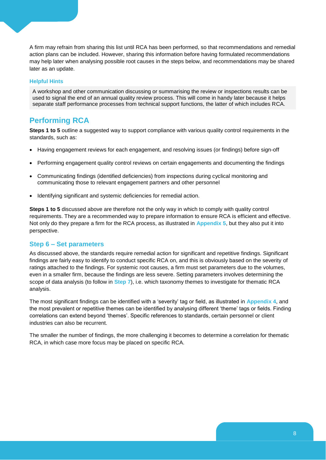A firm may refrain from sharing this list until RCA has been performed, so that recommendations and remedial action plans can be included. However, sharing this information before having formulated recommendations may help later when analysing possible root causes in the steps below, and recommendations may be shared later as an update.

#### **Helpful Hints**

A workshop and other communication discussing or summarising the review or inspections results can be used to signal the end of an annual quality review process. This will come in handy later because it helps separate staff performance processes from technical support functions, the latter of which includes RCA.

## <span id="page-10-0"></span>**Performing RCA**

**Steps 1 to 5** outline a suggested way to support compliance with various quality control requirements in the standards, such as:

- Having engagement reviews for each engagement, and resolving issues (or findings) before sign-off
- Performing engagement quality control reviews on certain engagements and documenting the findings
- Communicating findings (identified deficiencies) from inspections during cyclical monitoring and communicating those to relevant engagement partners and other personnel
- Identifying significant and systemic deficiencies for remedial action.

**Steps 1 to 5** discussed above are therefore not the only way in which to comply with quality control requirements. They are a recommended way to prepare information to ensure RCA is efficient and effective. Not only do they prepare a firm for the RCA process, as illustrated in **Appendix 5**, but they also put it into perspective.

#### **Step 6 – Set parameters**

As discussed above, the standards require remedial action for significant and repetitive findings. Significant findings are fairly easy to identify to conduct specific RCA on, and this is obviously based on the severity of ratings attached to the findings. For systemic root causes, a firm must set parameters due to the volumes, even in a smaller firm, because the findings are less severe. Setting parameters involves determining the scope of data analysis (to follow in **Step 7**), i.e. which taxonomy themes to investigate for thematic RCA analysis.

The most significant findings can be identified with a 'severity' tag or field, as illustrated in **Appendix 4**, and the most prevalent or repetitive themes can be identified by analysing different 'theme' tags or fields. Finding correlations can extend beyond 'themes'. Specific references to standards, certain personnel or client industries can also be recurrent.

The smaller the number of findings, the more challenging it becomes to determine a correlation for thematic RCA, in which case more focus may be placed on specific RCA.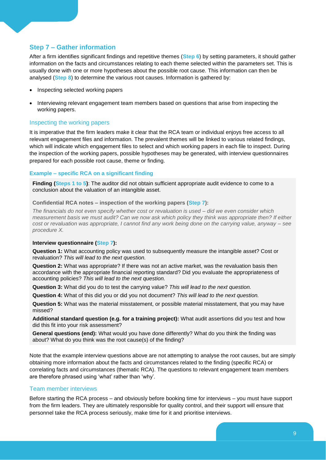## **Step 7 – Gather information**

After a firm identifies significant findings and repetitive themes (**Step 6**) by setting parameters, it should gather information on the facts and circumstances relating to each theme selected within the parameters set. This is usually done with one or more hypotheses about the possible root cause. This information can then be analysed (**Step 8**) to determine the various root causes. Information is gathered by:

- Inspecting selected working papers
- Interviewing relevant engagement team members based on questions that arise from inspecting the working papers.

#### Inspecting the working papers

It is imperative that the firm leaders make it clear that the RCA team or individual enjoys free access to all relevant engagement files and information. The prevalent themes will be linked to various related findings, which will indicate which engagement files to select and which working papers in each file to inspect. During the inspection of the working papers, possible hypotheses may be generated, with interview questionnaires prepared for each possible root cause, theme or finding.

#### **Example – specific RCA on a significant finding**

**Finding (Steps 1 to 5)**: The auditor did not obtain sufficient appropriate audit evidence to come to a conclusion about the valuation of an intangible asset.

**Confidential RCA notes – inspection of the working papers (Step 7):**

*The financials do not even specify whether cost or revaluation is used – did we even consider which measurement basis we must audit? Can we now ask which policy they think was appropriate then? If either cost or revaluation was appropriate, I cannot find any work being done on the carrying value, anyway – see procedure X.*

#### **Interview questionnaire (Step 7):**

**Question 1:** What accounting policy was used to subsequently measure the intangible asset? Cost or revaluation? *This will lead to the next question.*

**Question 2:** What was appropriate? If there was not an active market, was the revaluation basis then accordance with the appropriate financial reporting standard? Did you evaluate the appropriateness of accounting policies? *This will lead to the next question.*

**Question 3:** What did you do to test the carrying value? *This will lead to the next question.*

**Question 4:** What of this did you or did you not document? *This will lead to the next question.*

**Question 5:** What was the material misstatement, or possible material misstatement, that you may have missed?

**Additional standard question (e.g. for a training project):** What audit assertions did you test and how did this fit into your risk assessment?

**General questions (end):** What would you have done differently? What do you think the finding was about? What do you think was the root cause(s) of the finding?

Note that the example interview questions above are not attempting to analyse the root causes, but are simply obtaining more information about the facts and circumstances related to the finding (specific RCA) or correlating facts and circumstances (thematic RCA). The questions to relevant engagement team members are therefore phrased using 'what' rather than 'why'.

#### Team member interviews

Before starting the RCA process – and obviously before booking time for interviews – you must have support from the firm leaders. They are ultimately responsible for quality control, and their support will ensure that personnel take the RCA process seriously, make time for it and prioritise interviews.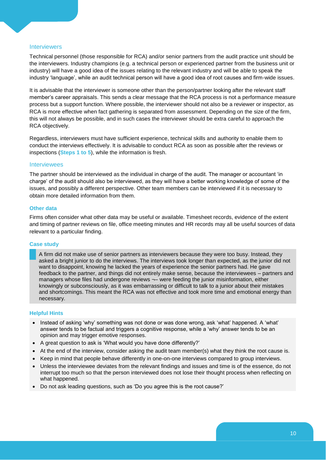#### Interviewers

Technical personnel (those responsible for RCA) and/or senior partners from the audit practice unit should be the interviewers. Industry champions (e.g. a technical person or experienced partner from the business unit or industry) will have a good idea of the issues relating to the relevant industry and will be able to speak the industry 'language', while an audit technical person will have a good idea of root causes and firm-wide issues.

It is advisable that the interviewer is someone other than the person/partner looking after the relevant staff member's career appraisals. This sends a clear message that the RCA process is not a performance measure process but a support function. Where possible, the interviewer should not also be a reviewer or inspector, as RCA is more effective when fact gathering is separated from assessment. Depending on the size of the firm, this will not always be possible, and in such cases the interviewer should be extra careful to approach the RCA objectively.

Regardless, interviewers must have sufficient experience, technical skills and authority to enable them to conduct the interviews effectively. It is advisable to conduct RCA as soon as possible after the reviews or inspections (**Steps 1 to 5**), while the information is fresh.

#### **Interviewees**

The partner should be interviewed as the individual in charge of the audit. The manager or accountant 'in charge' of the audit should also be interviewed, as they will have a better working knowledge of some of the issues, and possibly a different perspective. Other team members can be interviewed if it is necessary to obtain more detailed information from them.

#### **Other data**

Firms often consider what other data may be useful or available. Timesheet records, evidence of the extent and timing of partner reviews on file, office meeting minutes and HR records may all be useful sources of data relevant to a particular finding.

#### **Case study**

A firm did not make use of senior partners as interviewers because they were too busy. Instead, they asked a bright junior to do the interviews. The interviews took longer than expected, as the junior did not want to disappoint, knowing he lacked the years of experience the senior partners had. He gave feedback to the partner, and things did not entirely make sense, because the interviewees – partners and managers whose files had undergone reviews ¬- were feeding the junior misinformation, either knowingly or subconsciously, as it was embarrassing or difficult to talk to a junior about their mistakes and shortcomings. This meant the RCA was not effective and took more time and emotional energy than necessary.

#### **Helpful Hints**

- Instead of asking 'why' something was not done or was done wrong, ask 'what' happened. A 'what' answer tends to be factual and triggers a cognitive response, while a 'why' answer tends to be an opinion and may trigger emotive responses.
- A great question to ask is 'What would you have done differently?'
- At the end of the interview, consider asking the audit team member(s) what they think the root cause is.
- Keep in mind that people behave differently in one-on-one interviews compared to group interviews.
- Unless the interviewee deviates from the relevant findings and issues and time is of the essence, do not interrupt too much so that the person interviewed does not lose their thought process when reflecting on what happened.
- Do not ask leading questions, such as 'Do you agree this is the root cause?'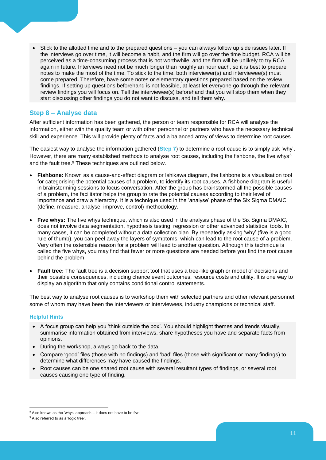Stick to the allotted time and to the prepared questions – you can always follow up side issues later. If the interviews go over time, it will become a habit, and the firm will go over the time budget. RCA will be perceived as a time-consuming process that is not worthwhile, and the firm will be unlikely to try RCA again in future. Interviews need not be much longer than roughly an hour each, so it is best to prepare notes to make the most of the time. To stick to the time, both interviewer(s) and interviewee(s) must come prepared. Therefore, have some notes or elementary questions prepared based on the review findings. If setting up questions beforehand is not feasible, at least let everyone go through the relevant review findings you will focus on. Tell the interviewee(s) beforehand that you will stop them when they start discussing other findings you do not want to discuss, and tell them why.

### **Step 8 – Analyse data**

After sufficient information has been gathered, the person or team responsible for RCA will analyse the information, either with the quality team or with other personnel or partners who have the necessary technical skill and experience. This will provide plenty of facts and a balanced array of views to determine root causes.

The easiest way to analyse the information gathered (**Step 7**) to determine a root cause is to simply ask 'why'. However, there are many established methods to analyse root causes, including the fishbone, the five whys $8$ and the fault tree.<sup>9</sup> These techniques are outlined below.

- **Fishbone:** Known as a cause-and-effect diagram or Ishikawa diagram, the fishbone is a visualisation tool for categorising the potential causes of a problem, to identify its root causes. A fishbone diagram is useful in brainstorming sessions to focus conversation. After the group has brainstormed all the possible causes of a problem, the facilitator helps the group to rate the potential causes according to their level of importance and draw a hierarchy. It is a technique used in the 'analyse' phase of the Six Sigma DMAIC (define, measure, analyse, improve, control) methodology.
- **Five whys:** The five whys technique, which is also used in the analysis phase of the Six Sigma DMAIC, does not involve data segmentation, hypothesis testing, regression or other advanced statistical tools. In many cases, it can be completed without a data collection plan. By repeatedly asking 'why' (five is a good rule of thumb), you can peel away the layers of symptoms, which can lead to the root cause of a problem. Very often the ostensible reason for a problem will lead to another question. Although this technique is called the five whys, you may find that fewer or more questions are needed before you find the root cause behind the problem.
- **Fault tree:** The fault tree is a decision support tool that uses a tree-like graph or model of decisions and their possible consequences, including chance event outcomes, resource costs and utility. It is one way to display an algorithm that only contains conditional control statements.

The best way to analyse root causes is to workshop them with selected partners and other relevant personnel, some of whom may have been the interviewers or interviewees, industry champions or technical staff.

#### **Helpful Hints**

- A focus group can help you 'think outside the box'. You should highlight themes and trends visually, summarise information obtained from interviews, share hypotheses you have and separate facts from opinions.
- During the workshop, always go back to the data.
- Compare 'good' files (those with no findings) and 'bad' files (those with significant or many findings) to determine what differences may have caused the findings.
- Root causes can be one shared root cause with several resultant types of findings, or several root causes causing one type of finding.

<sup>-</sup> $8$  Also known as the 'whys' approach – it does not have to be five.

<sup>&</sup>lt;sup>9</sup> Also referred to as a 'logic tree'.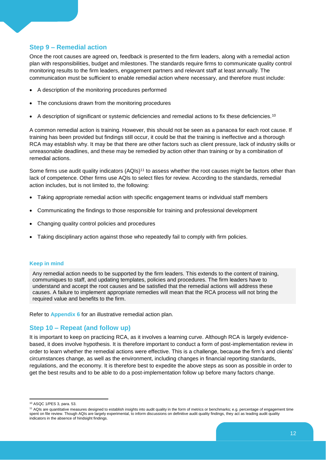## **Step 9 – Remedial action**

Once the root causes are agreed on, feedback is presented to the firm leaders, along with a remedial action plan with responsibilities, budget and milestones. The standards require firms to communicate quality control monitoring results to the firm leaders, engagement partners and relevant staff at least annually. The communication must be sufficient to enable remedial action where necessary, and therefore must include:

- A description of the monitoring procedures performed
- The conclusions drawn from the monitoring procedures
- A description of significant or systemic deficiencies and remedial actions to fix these deficiencies.<sup>10</sup>

A common remedial action is training. However, this should not be seen as a panacea for each root cause. If training has been provided but findings still occur, it could be that the training is ineffective and a thorough RCA may establish why. It may be that there are other factors such as client pressure, lack of industry skills or unreasonable deadlines, and these may be remedied by action other than training or by a combination of remedial actions.

Some firms use audit quality indicators (AQIs)<sup>11</sup> to assess whether the root causes might be factors other than lack of competence. Other firms use AQIs to select files for review. According to the standards, remedial action includes, but is not limited to, the following:

- Taking appropriate remedial action with specific engagement teams or individual staff members
- Communicating the findings to those responsible for training and professional development
- Changing quality control policies and procedures
- Taking disciplinary action against those who repeatedly fail to comply with firm policies.

#### **Keep in mind**

Any remedial action needs to be supported by the firm leaders. This extends to the content of training, communiques to staff, and updating templates, policies and procedures. The firm leaders have to understand and accept the root causes and be satisfied that the remedial actions will address these causes. A failure to implement appropriate remedies will mean that the RCA process will not bring the required value and benefits to the firm.

Refer to **Appendix 6** for an illustrative remedial action plan.

#### **Step 10 – Repeat (and follow up)**

It is important to keep on practicing RCA, as it involves a learning curve. Although RCA is largely evidencebased, it does involve hypothesis. It is therefore important to conduct a form of post-implementation review in order to learn whether the remedial actions were effective. This is a challenge, because the firm's and clients' circumstances change, as well as the environment, including changes in financial reporting standards, regulations, and the economy. It is therefore best to expedite the above steps as soon as possible in order to get the best results and to be able to do a post-implementation follow up before many factors change.

<sup>-</sup><sup>10</sup> ASQC 1/PES 3, para. 53.

<sup>&</sup>lt;sup>11</sup> AQIs are quantitative measures designed to establish insights into audit quality in the form of metrics or benchmarks; e.g. percentage of engagement time spent on file review. Though AQIs are largely experimental, to inform discussions on definitive audit quality findings, they act as leading audit quality indicators in the absence of hindsight findings.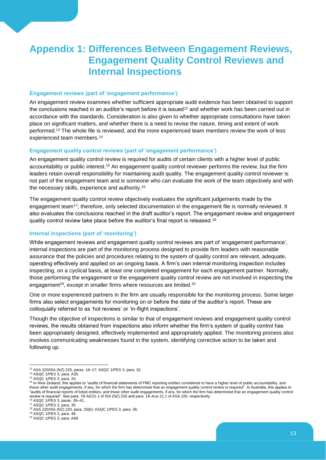# <span id="page-15-0"></span>**Appendix 1: Differences Between Engagement Reviews, Engagement Quality Control Reviews and Internal Inspections**

#### **Engagement reviews (part of 'engagement performance')**

An engagement review examines whether sufficient appropriate audit evidence has been obtained to support the conclusions reached in an auditor's report before it is issued<sup>12</sup> and whether work has been carried out in accordance with the standards. Consideration is also given to whether appropriate consultations have taken place on significant matters, and whether there is a need to revise the nature, timing and extent of work performed.<sup>13</sup> The whole file is reviewed, and the more experienced team members review the work of less experienced team members.<sup>14</sup>

#### **Engagement quality control reviews (part of 'engagement performance')**

An engagement quality control review is required for audits of certain clients with a higher level of public accountability or public interest.<sup>15</sup> An engagement quality control reviewer performs the review, but the firm leaders retain overall responsibility for maintaining audit quality. The engagement quality control reviewer is not part of the engagement team and is someone who can evaluate the work of the team objectively and with the necessary skills, experience and authority.<sup>16</sup>

The engagement quality control review objectively evaluates the significant judgements made by the engagement team<sup>17</sup>; therefore, only selected documentation in the engagement file is normally reviewed. It also evaluates the conclusions reached in the draft auditor's report. The engagement review and engagement quality control review take place before the auditor's final report is released.<sup>18</sup>

#### **Internal inspections (part of 'monitoring')**

While engagement reviews and engagement quality control reviews are part of 'engagement performance', internal inspections are part of the monitoring process designed to provide firm leaders with reasonable assurance that the policies and procedures relating to the system of quality control are relevant, adequate, operating effectively and applied on an ongoing basis. A firm's own internal monitoring inspection includes inspecting, on a cyclical basis, at least one completed engagement for each engagement partner. Normally, those performing the engagement or the engagement quality control review are not involved in inspecting the engagement<sup>19</sup>, except in smaller firms where resources are limited.<sup>20</sup>

One or more experienced partners in the firm are usually responsible for the monitoring process. Some larger firms also select engagements for monitoring on or before the date of the auditor's report. These are colloquially referred to as 'hot reviews' or 'in-flight inspections'.

Though the objective of inspections is similar to that of engagement reviews and engagement quality control reviews, the results obtained from inspections also inform whether the firm's system of quality control has been appropriately designed, effectively implemented and appropriately applied. The monitoring process also involves communicating weaknesses found in the system, identifying corrective action to be taken and following up.

-

<sup>12</sup> ASA 220/ISA (NZ) 220, paras. 16–17; ASQC 1/PES 3, para. 32.

<sup>13</sup> ASQC 1/PES 3, para. A35.

<sup>14</sup> ASQC 1/PES 3, para. 33.

<sup>&</sup>lt;sup>15</sup> In New Zealand, this applies to "audits of financial statements of FMC reporting entities considered to have a higher level of public accountability, and those other audit engagements, if any, for which the firm has determined that an engagement quality control review is required". In Australia, this applies to "audits of financial reports of listed entities, and those other audit engagements, if any, for which the firm has determined that an engagement quality control review is required". See para. 19–NZ21.1 of ISA (NZ) 220 and para. 19–Aus 21.1 of ASA 220, respectively. <sup>16</sup> ASQC 1/PES 3, paras. 39–41.

<sup>17</sup> ASQC 1/PES 3, para. 35.

<sup>18</sup> ASA 220/ISA (NZ) 220, para. 25(b); ASQC 1/PES 3, para. 36.

<sup>19</sup> ASQC 1/PES 3, para. 48.

<sup>20</sup> ASQC 1/PES 3, para. A68.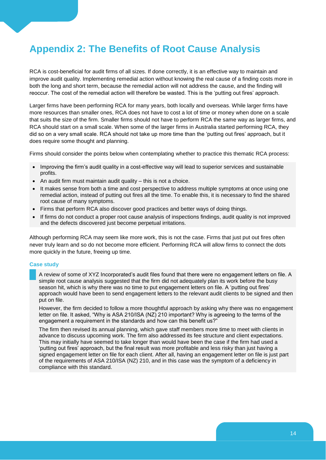# <span id="page-16-0"></span>**Appendix 2: The Benefits of Root Cause Analysis**

RCA is cost-beneficial for audit firms of all sizes. If done correctly, it is an effective way to maintain and improve audit quality. Implementing remedial action without knowing the real cause of a finding costs more in both the long and short term, because the remedial action will not address the cause, and the finding will reoccur. The cost of the remedial action will therefore be wasted. This is the 'putting out fires' approach.

Larger firms have been performing RCA for many years, both locally and overseas. While larger firms have more resources than smaller ones, RCA does not have to cost a lot of time or money when done on a scale that suits the size of the firm. Smaller firms should not have to perform RCA the same way as larger firms, and RCA should start on a small scale. When some of the larger firms in Australia started performing RCA, they did so on a very small scale. RCA should not take up more time than the 'putting out fires' approach, but it does require some thought and planning.

Firms should consider the points below when contemplating whether to practice this thematic RCA process:

- Improving the firm's audit quality in a cost-effective way will lead to superior services and sustainable profits.
- $\bullet$  An audit firm must maintain audit quality this is not a choice.
- It makes sense from both a time and cost perspective to address multiple symptoms at once using one remedial action, instead of putting out fires all the time. To enable this, it is necessary to find the shared root cause of many symptoms.
- Firms that perform RCA also discover good practices and better ways of doing things.
- If firms do not conduct a proper root cause analysis of inspections findings, audit quality is not improved and the defects discovered just become perpetual irritations.

Although performing RCA may seem like more work, this is not the case. Firms that just put out fires often never truly learn and so do not become more efficient. Performing RCA will allow firms to connect the dots more quickly in the future, freeing up time.

#### **Case study**

A review of some of XYZ Incorporated's audit files found that there were no engagement letters on file. A simple root cause analysis suggested that the firm did not adequately plan its work before the busy season hit, which is why there was no time to put engagement letters on file. A 'putting out fires' approach would have been to send engagement letters to the relevant audit clients to be signed and then put on file.

However, the firm decided to follow a more thoughtful approach by asking why there was no engagement letter on file. It asked, "Why is ASA 210/ISA (NZ) 210 important? Why is agreeing to the terms of the engagement a requirement in the standards and how can this benefit us?"

The firm then revised its annual planning, which gave staff members more time to meet with clients in advance to discuss upcoming work. The firm also addressed its fee structure and client expectations. This may initially have seemed to take longer than would have been the case if the firm had used a 'putting out fires' approach, but the final result was more profitable and less risky than just having a signed engagement letter on file for each client. After all, having an engagement letter on file is just part of the requirements of ASA 210/ISA (NZ) 210, and in this case was the symptom of a deficiency in compliance with this standard.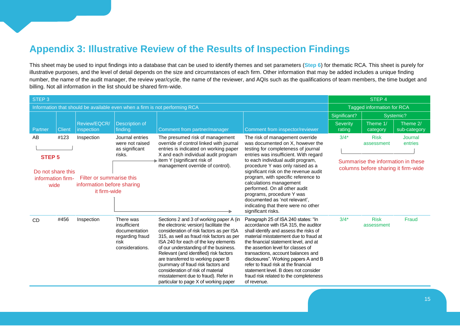# **Appendix 3: Illustrative Review of the Results of Inspection Findings**

This sheet may be used to input findings into a database that can be used to identify themes and set parameters (**Step 6**) for thematic RCA. This sheet is purely for illustrative purposes, and the level of detail depends on the size and circumstances of each firm. Other information that may be added includes a unique finding number, the name of the audit manager, the review year/cycle, the name of the reviewer, and AQIs such as the qualifications of team members, the time budget and billing. Not all information in the list should be shared firm-wide.

<span id="page-17-0"></span>

| STEP <sub>3</sub>                                                           |               |                                                                        |                                                                                          |                                                                                                                                                                                                                                                                                                                                                                                                                                                                                                         |                                                                                                                                                                                                                                                                                                                                                                                                                                                                      | STEP 4                                                                    |                           |                          |
|-----------------------------------------------------------------------------|---------------|------------------------------------------------------------------------|------------------------------------------------------------------------------------------|---------------------------------------------------------------------------------------------------------------------------------------------------------------------------------------------------------------------------------------------------------------------------------------------------------------------------------------------------------------------------------------------------------------------------------------------------------------------------------------------------------|----------------------------------------------------------------------------------------------------------------------------------------------------------------------------------------------------------------------------------------------------------------------------------------------------------------------------------------------------------------------------------------------------------------------------------------------------------------------|---------------------------------------------------------------------------|---------------------------|--------------------------|
| Information that should be available even when a firm is not performing RCA |               |                                                                        |                                                                                          |                                                                                                                                                                                                                                                                                                                                                                                                                                                                                                         |                                                                                                                                                                                                                                                                                                                                                                                                                                                                      | Tagged information for RCA                                                |                           |                          |
|                                                                             |               |                                                                        |                                                                                          |                                                                                                                                                                                                                                                                                                                                                                                                                                                                                                         |                                                                                                                                                                                                                                                                                                                                                                                                                                                                      | Significant?                                                              | Systemic?                 |                          |
| Partner                                                                     | <b>Client</b> | Review/EQCR/<br>inspection                                             | <b>Description of</b><br>finding                                                         | Comment from partner/manager                                                                                                                                                                                                                                                                                                                                                                                                                                                                            | Comment from inspector/reviewer                                                                                                                                                                                                                                                                                                                                                                                                                                      | <b>Severity</b><br>rating                                                 | Theme 1/<br>category      | Theme 2/<br>sub-category |
| AB<br><b>STEP 5</b>                                                         | #123          | Inspection                                                             | Journal entries<br>were not raised<br>as significant<br>risks.                           | The presumed risk of management<br>override of control linked with journal<br>entries is indicated on working paper<br>X and each individual audit program<br>ttem Y (significant risk of                                                                                                                                                                                                                                                                                                               | The risk of management override<br>was documented on X, however the<br>testing for completeness of journal<br>entries was insufficient. With regard<br>to each individual audit program,                                                                                                                                                                                                                                                                             | $3/4*$                                                                    | <b>Risk</b><br>assessment | Journal<br>entries       |
| Do not share this<br>information firm-<br>wide                              |               | Filter or summarise this<br>information before sharing<br>it firm-wide |                                                                                          | management override of control).                                                                                                                                                                                                                                                                                                                                                                                                                                                                        | procedure Y was only raised as a<br>significant risk on the revenue audit<br>program, with specific reference to<br>calculations management<br>performed. On all other audit<br>programs, procedure Y was<br>documented as 'not relevant',<br>indicating that there were no other<br>significant risks.                                                                                                                                                              | Summarise the information in these<br>columns before sharing it firm-wide |                           |                          |
| <b>CD</b>                                                                   | #456          | Inspection                                                             | There was<br>insufficient<br>documentation<br>regarding fraud<br>risk<br>considerations. | Sections 2 and 3 of working paper A (in<br>the electronic version) facilitate the<br>consideration of risk factors as per ISA<br>315, as well as fraud risk factors as per<br>ISA 240 for each of the key elements<br>of our understanding of the business.<br>Relevant (and identified) risk factors<br>are transferred to working paper B<br>(summary of fraud risk factors and<br>consideration of risk of material<br>misstatement due to fraud). Refer in<br>particular to page X of working paper | Paragraph 25 of ISA 240 states: "In<br>accordance with ISA 315, the auditor<br>shall identify and assess the risks of<br>material misstatement due to fraud at<br>the financial statement level, and at<br>the assertion level for classes of<br>transactions, account balances and<br>disclosures". Working papers A and B<br>refer to fraud risk at the financial<br>statement level. B does not consider<br>fraud risk related to the completeness<br>of revenue. | $3/4*$                                                                    | <b>Risk</b><br>assessment | Fraud                    |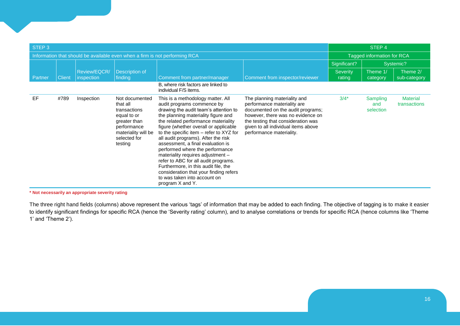| STEP <sub>3</sub>                                                           |               |                            |                                                                                                                                            |                                                                                                                                                                                                                                                                                                                                                                                                                                                                                                                                                                                                              |                                                                                                                                                                                                                                                | STEP 4                    |                              |                                 |
|-----------------------------------------------------------------------------|---------------|----------------------------|--------------------------------------------------------------------------------------------------------------------------------------------|--------------------------------------------------------------------------------------------------------------------------------------------------------------------------------------------------------------------------------------------------------------------------------------------------------------------------------------------------------------------------------------------------------------------------------------------------------------------------------------------------------------------------------------------------------------------------------------------------------------|------------------------------------------------------------------------------------------------------------------------------------------------------------------------------------------------------------------------------------------------|---------------------------|------------------------------|---------------------------------|
| Information that should be available even when a firm is not performing RCA |               |                            |                                                                                                                                            |                                                                                                                                                                                                                                                                                                                                                                                                                                                                                                                                                                                                              | Tagged information for RCA                                                                                                                                                                                                                     |                           |                              |                                 |
|                                                                             |               |                            |                                                                                                                                            |                                                                                                                                                                                                                                                                                                                                                                                                                                                                                                                                                                                                              |                                                                                                                                                                                                                                                | Significant?              |                              | Systemic?                       |
| Partner                                                                     | <b>Client</b> | Review/EQCR/<br>inspection | <b>Description of</b><br>finding                                                                                                           | Comment from partner/manager                                                                                                                                                                                                                                                                                                                                                                                                                                                                                                                                                                                 | Comment from inspector/reviewer                                                                                                                                                                                                                | <b>Severity</b><br>rating | Theme 1/<br>category         | Theme 2/<br>sub-category        |
|                                                                             |               |                            |                                                                                                                                            | B, where risk factors are linked to<br>individual F/S items.                                                                                                                                                                                                                                                                                                                                                                                                                                                                                                                                                 |                                                                                                                                                                                                                                                |                           |                              |                                 |
| EF                                                                          | #789          | Inspection                 | Not documented<br>that all<br>transactions<br>equal to or<br>greater than<br>performance<br>materiality will be<br>selected for<br>testing | This is a methodology matter. All<br>audit programs commence by<br>drawing the audit team's attention to<br>the planning materiality figure and<br>the related performance materiality<br>figure (whether overall or applicable<br>to the specific item - refer to XYZ for<br>all audit programs). After the risk<br>assessment, a final evaluation is<br>performed where the performance<br>materiality requires adjustment -<br>refer to ABC for all audit programs.<br>Furthermore, in this audit file, the<br>consideration that your finding refers<br>to was taken into account on<br>program X and Y. | The planning materiality and<br>performance materiality are<br>documented on the audit programs;<br>however, there was no evidence on<br>the testing that consideration was<br>given to all individual items above<br>performance materiality. | $3/4*$                    | Sampling<br>and<br>selection | <b>Material</b><br>transactions |

**\* Not necessarily an appropriate severity rating**

The three right hand fields (columns) above represent the various 'tags' of information that may be added to each finding. The objective of tagging is to make it easier to identify significant findings for specific RCA (hence the 'Severity rating' column), and to analyse correlations or trends for specific RCA (hence columns like 'Theme 1' and 'Theme 2').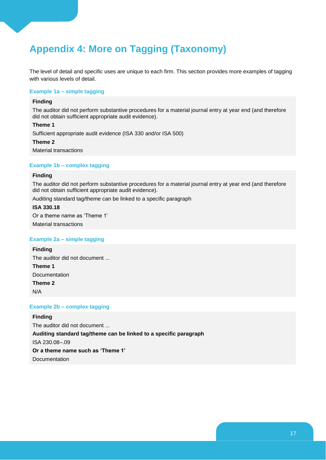# <span id="page-19-0"></span>**Appendix 4: More on Tagging (Taxonomy)**

The level of detail and specific uses are unique to each firm. This section provides more examples of tagging with various levels of detail.

#### **Example 1a – simple tagging**

#### **Finding**

The auditor did not perform substantive procedures for a material journal entry at year end (and therefore did not obtain sufficient appropriate audit evidence).

#### **Theme 1**

Sufficient appropriate audit evidence (ISA 330 and/or ISA 500)

#### **Theme 2**

Material transactions

#### **Example 1b – complex tagging**

#### **Finding**

The auditor did not perform substantive procedures for a material journal entry at year end (and therefore did not obtain sufficient appropriate audit evidence).

Auditing standard tag/theme can be linked to a specific paragraph

#### **ISA 330.18**

Or a theme name as 'Theme 1'

Material transactions

#### **Example 2a – simple tagging**

## **Finding** The auditor did not document ... **Theme 1** Documentation

**Theme 2**

N/A

#### **Example 2b – complex tagging**

# **Finding**

The auditor did not document ... **Auditing standard tag/theme can be linked to a specific paragraph** ISA 230.08–.09 **Or a theme name such as 'Theme 1'** Documentation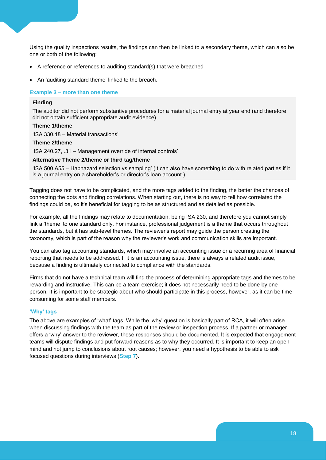Using the quality inspections results, the findings can then be linked to a secondary theme, which can also be one or both of the following:

- A reference or references to auditing standard(s) that were breached
- An 'auditing standard theme' linked to the breach.

#### **Example 3 – more than one theme**

#### **Finding**

The auditor did not perform substantive procedures for a material journal entry at year end (and therefore did not obtain sufficient appropriate audit evidence).

#### **Theme 1/theme**

'ISA 330.18 – Material transactions'

#### **Theme 2/theme**

'ISA 240.27, .31 – Management override of internal controls'

#### **Alternative Theme 2/theme or third tag/theme**

'ISA 500.A55 – Haphazard selection vs sampling' (It can also have something to do with related parties if it is a journal entry on a shareholder's or director's loan account.)

Tagging does not have to be complicated, and the more tags added to the finding, the better the chances of connecting the dots and finding correlations. When starting out, there is no way to tell how correlated the findings could be, so it's beneficial for tagging to be as structured and as detailed as possible.

For example, all the findings may relate to documentation, being ISA 230, and therefore you cannot simply link a 'theme' to one standard only. For instance, professional judgement is a theme that occurs throughout the standards, but it has sub-level themes. The reviewer's report may guide the person creating the taxonomy, which is part of the reason why the reviewer's work and communication skills are important.

You can also tag accounting standards, which may involve an accounting issue or a recurring area of financial reporting that needs to be addressed. If it is an accounting issue, there is always a related audit issue, because a finding is ultimately connected to compliance with the standards.

Firms that do not have a technical team will find the process of determining appropriate tags and themes to be rewarding and instructive. This can be a team exercise; it does not necessarily need to be done by one person. It is important to be strategic about who should participate in this process, however, as it can be timeconsuming for some staff members.

#### **'Why' tags**

The above are examples of 'what' tags. While the 'why' question is basically part of RCA, it will often arise when discussing findings with the team as part of the review or inspection process. If a partner or manager offers a 'why' answer to the reviewer, these responses should be documented. It is expected that engagement teams will dispute findings and put forward reasons as to why they occurred. It is important to keep an open mind and not jump to conclusions about root causes; however, you need a hypothesis to be able to ask focused questions during interviews (**Step 7**).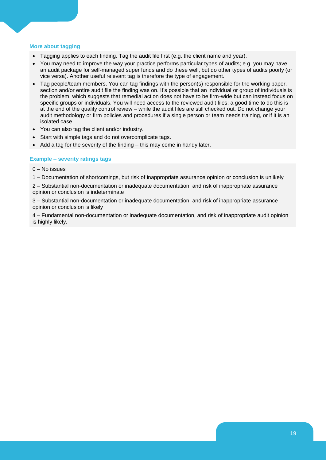#### **More about tagging**

- Tagging applies to each finding. Tag the audit file first (e.g. the client name and year).
- You may need to improve the way your practice performs particular types of audits; e.g. you may have an audit package for self-managed super funds and do these well, but do other types of audits poorly (or vice versa). Another useful relevant tag is therefore the type of engagement.
- Tag people/team members. You can tag findings with the person(s) responsible for the working paper, section and/or entire audit file the finding was on. It's possible that an individual or group of individuals is the problem, which suggests that remedial action does not have to be firm-wide but can instead focus on specific groups or individuals. You will need access to the reviewed audit files; a good time to do this is at the end of the quality control review – while the audit files are still checked out. Do not change your audit methodology or firm policies and procedures if a single person or team needs training, or if it is an isolated case.
- You can also tag the client and/or industry.
- Start with simple tags and do not overcomplicate tags.
- Add a tag for the severity of the finding this may come in handy later.

#### **Example – severity ratings tags**

0 – No issues

1 – Documentation of shortcomings, but risk of inappropriate assurance opinion or conclusion is unlikely

2 – Substantial non-documentation or inadequate documentation, and risk of inappropriate assurance opinion or conclusion is indeterminate

3 – Substantial non-documentation or inadequate documentation, and risk of inappropriate assurance opinion or conclusion is likely

4 – Fundamental non-documentation or inadequate documentation, and risk of inappropriate audit opinion is highly likely.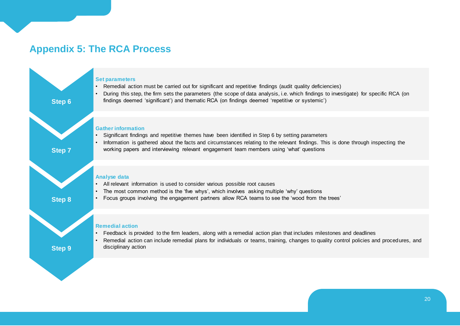# **Appendix 5: The RCA Process**

<span id="page-22-0"></span>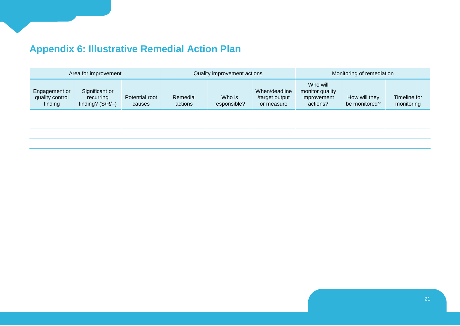# **Appendix 6: Illustrative Remedial Action Plan**

<span id="page-23-0"></span>

| Significant or<br>Engagement or<br>Potential root<br>Remedial<br>quality control<br>recurring<br>finding<br>finding? $(S/R)$<br>actions<br>causes | Who is<br>responsible? | When/deadline<br>/target output<br>or measure | Who will<br>monitor quality<br>improvement<br>actions? | How will they<br>be monitored? | Timeline for<br>monitoring |
|---------------------------------------------------------------------------------------------------------------------------------------------------|------------------------|-----------------------------------------------|--------------------------------------------------------|--------------------------------|----------------------------|